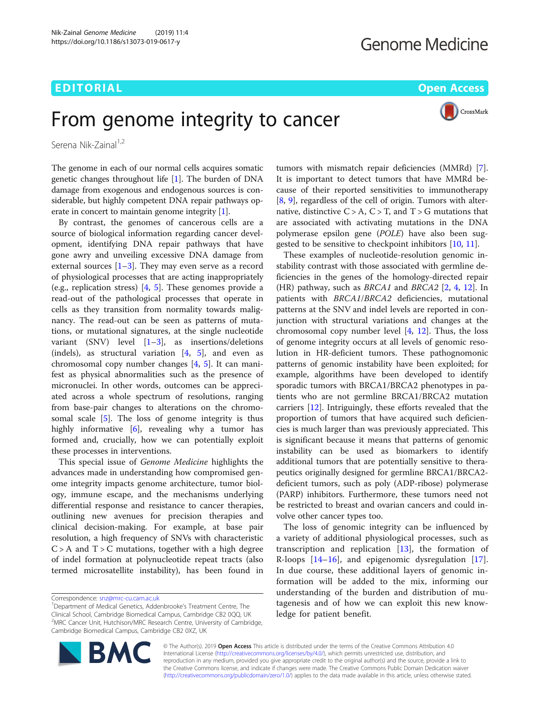# EDITORIAL AND Open Access to the contract of the contract of the contract of the contract of the contract of the contract of the contract of the contract of the contract of the contract of the contract of the contract of t

# From genome integrity to cancer

CrossMark

Serena Nik-Zainal<sup>1,2</sup>

The genome in each of our normal cells acquires somatic genetic changes throughout life [\[1\]](#page-2-0). The burden of DNA damage from exogenous and endogenous sources is considerable, but highly competent DNA repair pathways op-erate in concert to maintain genome integrity [\[1\]](#page-2-0).

By contrast, the genomes of cancerous cells are a source of biological information regarding cancer development, identifying DNA repair pathways that have gone awry and unveiling excessive DNA damage from external sources  $[1-3]$  $[1-3]$  $[1-3]$  $[1-3]$  $[1-3]$ . They may even serve as a record of physiological processes that are acting inappropriately (e.g., replication stress) [\[4,](#page-2-0) [5\]](#page-2-0). These genomes provide a read-out of the pathological processes that operate in cells as they transition from normality towards malignancy. The read-out can be seen as patterns of mutations, or mutational signatures, at the single nucleotide variant (SNV) level [[1](#page-2-0)–[3](#page-2-0)], as insertions/deletions (indels), as structural variation  $[4, 5]$  $[4, 5]$  $[4, 5]$  $[4, 5]$ , and even as chromosomal copy number changes [[4,](#page-2-0) [5](#page-2-0)]. It can manifest as physical abnormalities such as the presence of micronuclei. In other words, outcomes can be appreciated across a whole spectrum of resolutions, ranging from base-pair changes to alterations on the chromosomal scale [[5\]](#page-2-0). The loss of genome integrity is thus highly informative  $[6]$  $[6]$ , revealing why a tumor has formed and, crucially, how we can potentially exploit these processes in interventions.

This special issue of Genome Medicine highlights the advances made in understanding how compromised genome integrity impacts genome architecture, tumor biology, immune escape, and the mechanisms underlying differential response and resistance to cancer therapies, outlining new avenues for precision therapies and clinical decision-making. For example, at base pair resolution, a high frequency of SNVs with characteristic  $C > A$  and  $T > C$  mutations, together with a high degree of indel formation at polynucleotide repeat tracts (also termed microsatellite instability), has been found in

tumors with mismatch repair deficiencies (MMRd) [\[7](#page-2-0)]. It is important to detect tumors that have MMRd because of their reported sensitivities to immunotherapy [[8,](#page-2-0) [9](#page-2-0)], regardless of the cell of origin. Tumors with alternative, distinctive  $C > A$ ,  $C > T$ , and  $T > G$  mutations that are associated with activating mutations in the DNA polymerase epsilon gene (POLE) have also been suggested to be sensitive to checkpoint inhibitors [\[10,](#page-2-0) [11\]](#page-2-0).

These examples of nucleotide-resolution genomic instability contrast with those associated with germline deficiencies in the genes of the homology-directed repair (HR) pathway, such as  $BRCA1$  and  $BRCA2$  [\[2](#page-2-0), [4,](#page-2-0) [12](#page-2-0)]. In patients with BRCA1/BRCA2 deficiencies, mutational patterns at the SNV and indel levels are reported in conjunction with structural variations and changes at the chromosomal copy number level  $[4, 12]$  $[4, 12]$  $[4, 12]$  $[4, 12]$ . Thus, the loss of genome integrity occurs at all levels of genomic resolution in HR-deficient tumors. These pathognomonic patterns of genomic instability have been exploited; for example, algorithms have been developed to identify sporadic tumors with BRCA1/BRCA2 phenotypes in patients who are not germline BRCA1/BRCA2 mutation carriers [\[12\]](#page-2-0). Intriguingly, these efforts revealed that the proportion of tumors that have acquired such deficiencies is much larger than was previously appreciated. This is significant because it means that patterns of genomic instability can be used as biomarkers to identify additional tumors that are potentially sensitive to therapeutics originally designed for germline BRCA1/BRCA2 deficient tumors, such as poly (ADP-ribose) polymerase (PARP) inhibitors. Furthermore, these tumors need not be restricted to breast and ovarian cancers and could involve other cancer types too.

The loss of genomic integrity can be influenced by a variety of additional physiological processes, such as transcription and replication  $[13]$  $[13]$  $[13]$ , the formation of R-loops  $[14–16]$  $[14–16]$  $[14–16]$  $[14–16]$ , and epigenomic dysregulation  $[17]$  $[17]$ . In due course, these additional layers of genomic information will be added to the mix, informing our understanding of the burden and distribution of mutagenesis and of how we can exploit this new knowledge for patient benefit.



© The Author(s). 2019 Open Access This article is distributed under the terms of the Creative Commons Attribution 4.0 International License [\(http://creativecommons.org/licenses/by/4.0/](http://creativecommons.org/licenses/by/4.0/)), which permits unrestricted use, distribution, and reproduction in any medium, provided you give appropriate credit to the original author(s) and the source, provide a link to the Creative Commons license, and indicate if changes were made. The Creative Commons Public Domain Dedication waiver [\(http://creativecommons.org/publicdomain/zero/1.0/](http://creativecommons.org/publicdomain/zero/1.0/)) applies to the data made available in this article, unless otherwise stated.

Correspondence: [snz@mrc-cu.cam.ac.uk](mailto:snz@mrc-cu.cam.ac.uk) <sup>1</sup>

<sup>&</sup>lt;sup>1</sup>Department of Medical Genetics, Addenbrooke's Treatment Centre, The Clinical School, Cambridge Biomedical Campus, Cambridge CB2 0QQ, UK <sup>2</sup>MRC Cancer Unit, Hutchison/MRC Research Centre, University of Cambridge, Cambridge Biomedical Campus, Cambridge CB2 0XZ, UK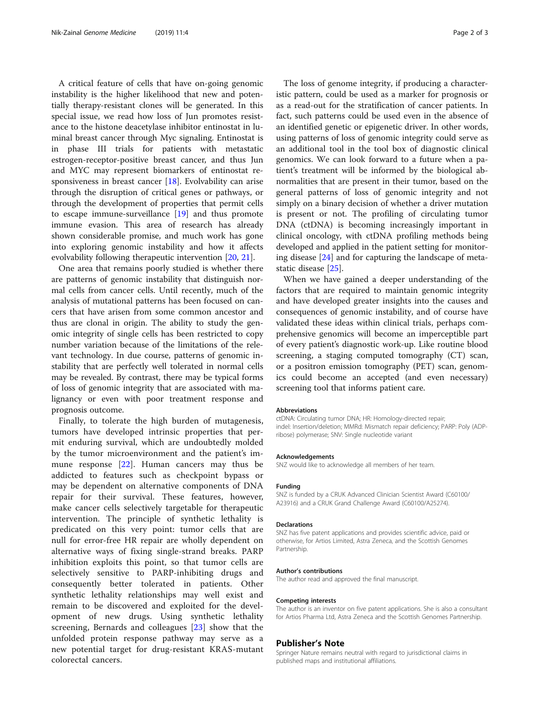A critical feature of cells that have on-going genomic instability is the higher likelihood that new and potentially therapy-resistant clones will be generated. In this special issue, we read how loss of Jun promotes resistance to the histone deacetylase inhibitor entinostat in luminal breast cancer through Myc signaling. Entinostat is in phase III trials for patients with metastatic estrogen-receptor-positive breast cancer, and thus Jun and MYC may represent biomarkers of entinostat responsiveness in breast cancer [\[18](#page-2-0)]. Evolvability can arise through the disruption of critical genes or pathways, or through the development of properties that permit cells to escape immune-surveillance [\[19](#page-2-0)] and thus promote immune evasion. This area of research has already shown considerable promise, and much work has gone into exploring genomic instability and how it affects evolvability following therapeutic intervention [\[20](#page-2-0), [21](#page-2-0)].

One area that remains poorly studied is whether there are patterns of genomic instability that distinguish normal cells from cancer cells. Until recently, much of the analysis of mutational patterns has been focused on cancers that have arisen from some common ancestor and thus are clonal in origin. The ability to study the genomic integrity of single cells has been restricted to copy number variation because of the limitations of the relevant technology. In due course, patterns of genomic instability that are perfectly well tolerated in normal cells may be revealed. By contrast, there may be typical forms of loss of genomic integrity that are associated with malignancy or even with poor treatment response and prognosis outcome.

Finally, to tolerate the high burden of mutagenesis, tumors have developed intrinsic properties that permit enduring survival, which are undoubtedly molded by the tumor microenvironment and the patient's immune response [[22\]](#page-2-0). Human cancers may thus be addicted to features such as checkpoint bypass or may be dependent on alternative components of DNA repair for their survival. These features, however, make cancer cells selectively targetable for therapeutic intervention. The principle of synthetic lethality is predicated on this very point: tumor cells that are null for error-free HR repair are wholly dependent on alternative ways of fixing single-strand breaks. PARP inhibition exploits this point, so that tumor cells are selectively sensitive to PARP-inhibiting drugs and consequently better tolerated in patients. Other synthetic lethality relationships may well exist and remain to be discovered and exploited for the development of new drugs. Using synthetic lethality screening, Bernards and colleagues [[23\]](#page-2-0) show that the unfolded protein response pathway may serve as a new potential target for drug-resistant KRAS-mutant colorectal cancers.

The loss of genome integrity, if producing a characteristic pattern, could be used as a marker for prognosis or as a read-out for the stratification of cancer patients. In fact, such patterns could be used even in the absence of an identified genetic or epigenetic driver. In other words, using patterns of loss of genomic integrity could serve as an additional tool in the tool box of diagnostic clinical genomics. We can look forward to a future when a patient's treatment will be informed by the biological abnormalities that are present in their tumor, based on the general patterns of loss of genomic integrity and not simply on a binary decision of whether a driver mutation is present or not. The profiling of circulating tumor DNA (ctDNA) is becoming increasingly important in clinical oncology, with ctDNA profiling methods being developed and applied in the patient setting for monitoring disease [\[24\]](#page-2-0) and for capturing the landscape of metastatic disease [[25\]](#page-2-0).

When we have gained a deeper understanding of the factors that are required to maintain genomic integrity and have developed greater insights into the causes and consequences of genomic instability, and of course have validated these ideas within clinical trials, perhaps comprehensive genomics will become an imperceptible part of every patient's diagnostic work-up. Like routine blood screening, a staging computed tomography (CT) scan, or a positron emission tomography (PET) scan, genomics could become an accepted (and even necessary) screening tool that informs patient care.

### Abbreviations

ctDNA: Circulating tumor DNA; HR: Homology-directed repair; indel: Insertion/deletion; MMRd: Mismatch repair deficiency; PARP: Poly (ADPribose) polymerase; SNV: Single nucleotide variant

# Acknowledgements

SNZ would like to acknowledge all members of her team.

#### Funding

SNZ is funded by a CRUK Advanced Clinician Scientist Award (C60100/ A23916) and a CRUK Grand Challenge Award (C60100/A25274).

#### Declarations

SNZ has five patent applications and provides scientific advice, paid or otherwise, for Artios Limited, Astra Zeneca, and the Scottish Genomes Partnership.

# Author's contributions

The author read and approved the final manuscript.

### Competing interests

The author is an inventor on five patent applications. She is also a consultant for Artios Pharma Ltd, Astra Zeneca and the Scottish Genomes Partnership.

# Publisher's Note

Springer Nature remains neutral with regard to jurisdictional claims in published maps and institutional affiliations.